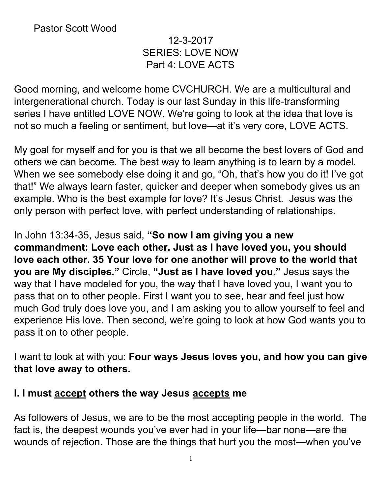# 12-3-2017 SERIES: LOVE NOW Part 4: LOVE ACTS

Good morning, and welcome home CVCHURCH. We are a multicultural and intergenerational church. Today is our last Sunday in this life-transforming series I have entitled LOVE NOW. We're going to look at the idea that love is not so much a feeling or sentiment, but love—at it's very core, LOVE ACTS.

My goal for myself and for you is that we all become the best lovers of God and others we can become. The best way to learn anything is to learn by a model. When we see somebody else doing it and go, "Oh, that's how you do it! I've got that!" We always learn faster, quicker and deeper when somebody gives us an example. Who is the best example for love? It's Jesus Christ. Jesus was the only person with perfect love, with perfect understanding of relationships.

In John 13:34-35, Jesus said, **"So now I am giving you a new commandment: Love each other. Just as I have loved you, you should love each other. 35 Your love for one another will prove to the world that you are My disciples."** Circle, **"Just as I have loved you."** Jesus says the way that I have modeled for you, the way that I have loved you, I want you to pass that on to other people. First I want you to see, hear and feel just how much God truly does love you, and I am asking you to allow yourself to feel and experience His love. Then second, we're going to look at how God wants you to pass it on to other people.

I want to look at with you: **Four ways Jesus loves you, and how you can give that love away to others.**

# **I. I must accept others the way Jesus accepts me**

As followers of Jesus, we are to be the most accepting people in the world. The fact is, the deepest wounds you've ever had in your life—bar none—are the wounds of rejection. Those are the things that hurt you the most—when you've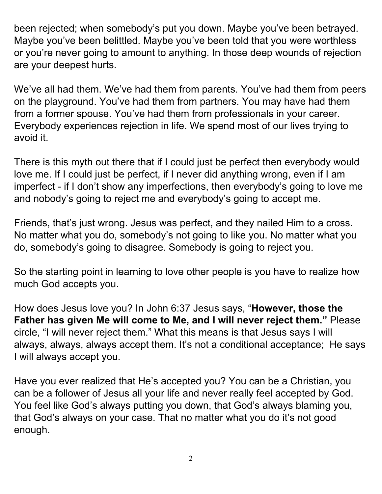been rejected; when somebody's put you down. Maybe you've been betrayed. Maybe you've been belittled. Maybe you've been told that you were worthless or you're never going to amount to anything. In those deep wounds of rejection are your deepest hurts.

We've all had them. We've had them from parents. You've had them from peers on the playground. You've had them from partners. You may have had them from a former spouse. You've had them from professionals in your career. Everybody experiences rejection in life. We spend most of our lives trying to avoid it.

There is this myth out there that if I could just be perfect then everybody would love me. If I could just be perfect, if I never did anything wrong, even if I am imperfect - if I don't show any imperfections, then everybody's going to love me and nobody's going to reject me and everybody's going to accept me.

Friends, that's just wrong. Jesus was perfect, and they nailed Him to a cross. No matter what you do, somebody's not going to like you. No matter what you do, somebody's going to disagree. Somebody is going to reject you.

So the starting point in learning to love other people is you have to realize how much God accepts you.

How does Jesus love you? In John 6:37 Jesus says, "**However, those the Father has given Me will come to Me, and I will never reject them."** Please circle, "I will never reject them." What this means is that Jesus says I will always, always, always accept them. It's not a conditional acceptance; He says I will always accept you.

Have you ever realized that He's accepted you? You can be a Christian, you can be a follower of Jesus all your life and never really feel accepted by God. You feel like God's always putting you down, that God's always blaming you, that God's always on your case. That no matter what you do it's not good enough.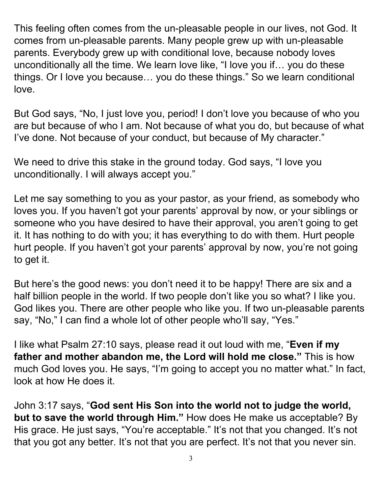This feeling often comes from the un-pleasable people in our lives, not God. It comes from un-pleasable parents. Many people grew up with un-pleasable parents. Everybody grew up with conditional love, because nobody loves unconditionally all the time. We learn love like, "I love you if… you do these things. Or I love you because… you do these things." So we learn conditional love.

But God says, "No, I just love you, period! I don't love you because of who you are but because of who I am. Not because of what you do, but because of what I've done. Not because of your conduct, but because of My character."

We need to drive this stake in the ground today. God says, "I love you unconditionally. I will always accept you."

Let me say something to you as your pastor, as your friend, as somebody who loves you. If you haven't got your parents' approval by now, or your siblings or someone who you have desired to have their approval, you aren't going to get it. It has nothing to do with you; it has everything to do with them. Hurt people hurt people. If you haven't got your parents' approval by now, you're not going to get it.

But here's the good news: you don't need it to be happy! There are six and a half billion people in the world. If two people don't like you so what? I like you. God likes you. There are other people who like you. If two un-pleasable parents say, "No," I can find a whole lot of other people who'll say, "Yes."

I like what Psalm 27:10 says, please read it out loud with me, "**Even if my father and mother abandon me, the Lord will hold me close."** This is how much God loves you. He says, "I'm going to accept you no matter what." In fact, look at how He does it.

John 3:17 says, "**God sent His Son into the world not to judge the world, but to save the world through Him."** How does He make us acceptable? By His grace. He just says, "You're acceptable." It's not that you changed. It's not that you got any better. It's not that you are perfect. It's not that you never sin.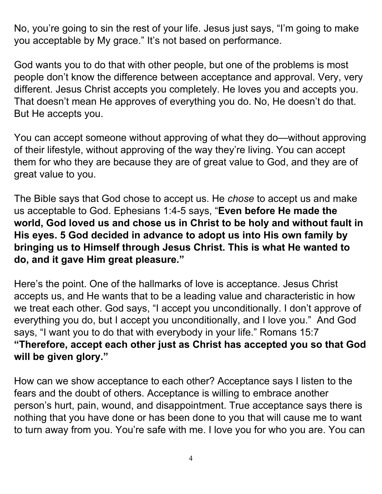No, you're going to sin the rest of your life. Jesus just says, "I'm going to make you acceptable by My grace." It's not based on performance.

God wants you to do that with other people, but one of the problems is most people don't know the difference between acceptance and approval. Very, very different. Jesus Christ accepts you completely. He loves you and accepts you. That doesn't mean He approves of everything you do. No, He doesn't do that. But He accepts you.

You can accept someone without approving of what they do—without approving of their lifestyle, without approving of the way they're living. You can accept them for who they are because they are of great value to God, and they are of great value to you.

The Bible says that God chose to accept us. He *chose* to accept us and make us acceptable to God. Ephesians 1:4-5 says, "**Even before He made the world, God loved us and chose us in Christ to be holy and without fault in His eyes. 5 God decided in advance to adopt us into His own family by bringing us to Himself through Jesus Christ. This is what He wanted to do, and it gave Him great pleasure."**

Here's the point. One of the hallmarks of love is acceptance. Jesus Christ accepts us, and He wants that to be a leading value and characteristic in how we treat each other. God says, "I accept you unconditionally. I don't approve of everything you do, but I accept you unconditionally, and I love you." And God says, "I want you to do that with everybody in your life." Romans 15:7 **"Therefore, accept each other just as Christ has accepted you so that God will be given glory."**

How can we show acceptance to each other? Acceptance says I listen to the fears and the doubt of others. Acceptance is willing to embrace another person's hurt, pain, wound, and disappointment. True acceptance says there is nothing that you have done or has been done to you that will cause me to want to turn away from you. You're safe with me. I love you for who you are. You can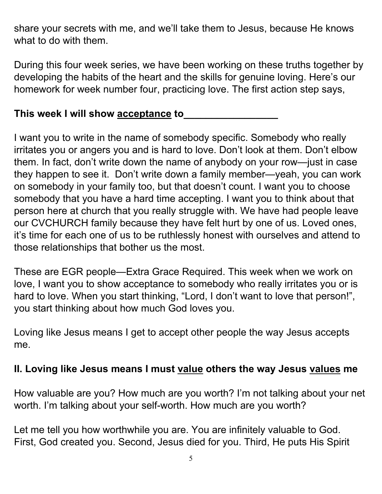share your secrets with me, and we'll take them to Jesus, because He knows what to do with them.

During this four week series, we have been working on these truths together by developing the habits of the heart and the skills for genuine loving. Here's our homework for week number four, practicing love. The first action step says,

### **This week I will show acceptance to\_\_\_\_\_\_\_\_\_\_\_\_\_\_\_\_\_**

I want you to write in the name of somebody specific. Somebody who really irritates you or angers you and is hard to love. Don't look at them. Don't elbow them. In fact, don't write down the name of anybody on your row—just in case they happen to see it. Don't write down a family member—yeah, you can work on somebody in your family too, but that doesn't count. I want you to choose somebody that you have a hard time accepting. I want you to think about that person here at church that you really struggle with. We have had people leave our CVCHURCH family because they have felt hurt by one of us. Loved ones, it's time for each one of us to be ruthlessly honest with ourselves and attend to those relationships that bother us the most.

These are EGR people—Extra Grace Required. This week when we work on love, I want you to show acceptance to somebody who really irritates you or is hard to love. When you start thinking, "Lord, I don't want to love that person!", you start thinking about how much God loves you.

Loving like Jesus means I get to accept other people the way Jesus accepts me.

#### **II. Loving like Jesus means I must value others the way Jesus values me**

How valuable are you? How much are you worth? I'm not talking about your net worth. I'm talking about your self-worth. How much are you worth?

Let me tell you how worthwhile you are. You are infinitely valuable to God. First, God created you. Second, Jesus died for you. Third, He puts His Spirit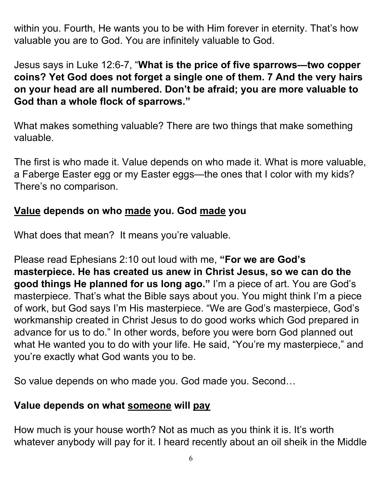within you. Fourth, He wants you to be with Him forever in eternity. That's how valuable you are to God. You are infinitely valuable to God.

Jesus says in Luke 12:6-7, "**What is the price of five sparrows—two copper coins? Yet God does not forget a single one of them. 7 And the very hairs on your head are all numbered. Don't be afraid; you are more valuable to God than a whole flock of sparrows."**

What makes something valuable? There are two things that make something valuable.

The first is who made it. Value depends on who made it. What is more valuable, a Faberge Easter egg or my Easter eggs—the ones that I color with my kids? There's no comparison.

#### **Value depends on who made you. God made you**

What does that mean? It means you're valuable.

Please read Ephesians 2:10 out loud with me, **"For we are God's masterpiece. He has created us anew in Christ Jesus, so we can do the good things He planned for us long ago."** I'm a piece of art. You are God's masterpiece. That's what the Bible says about you. You might think I'm a piece of work, but God says I'm His masterpiece. "We are God's masterpiece, God's workmanship created in Christ Jesus to do good works which God prepared in advance for us to do." In other words, before you were born God planned out what He wanted you to do with your life. He said, "You're my masterpiece," and you're exactly what God wants you to be.

So value depends on who made you. God made you. Second…

#### **Value depends on what someone will pay**

How much is your house worth? Not as much as you think it is. It's worth whatever anybody will pay for it. I heard recently about an oil sheik in the Middle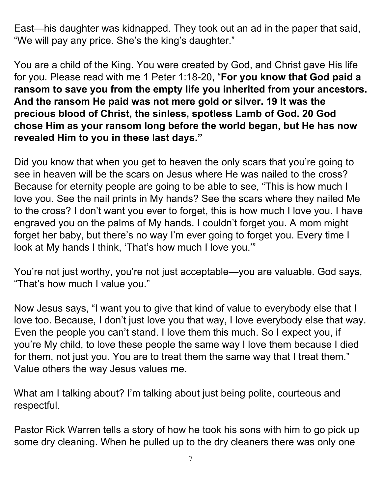East—his daughter was kidnapped. They took out an ad in the paper that said, "We will pay any price. She's the king's daughter."

You are a child of the King. You were created by God, and Christ gave His life for you. Please read with me 1 Peter 1:18-20, "**For you know that God paid a ransom to save you from the empty life you inherited from your ancestors. And the ransom He paid was not mere gold or silver. 19 It was the precious blood of Christ, the sinless, spotless Lamb of God. 20 God chose Him as your ransom long before the world began, but He has now revealed Him to you in these last days."**

Did you know that when you get to heaven the only scars that you're going to see in heaven will be the scars on Jesus where He was nailed to the cross? Because for eternity people are going to be able to see, "This is how much I love you. See the nail prints in My hands? See the scars where they nailed Me to the cross? I don't want you ever to forget, this is how much I love you. I have engraved you on the palms of My hands. I couldn't forget you. A mom might forget her baby, but there's no way I'm ever going to forget you. Every time I look at My hands I think, 'That's how much I love you.'"

You're not just worthy, you're not just acceptable—you are valuable. God says, "That's how much I value you."

Now Jesus says, "I want you to give that kind of value to everybody else that I love too. Because, I don't just love you that way, I love everybody else that way. Even the people you can't stand. I love them this much. So I expect you, if you're My child, to love these people the same way I love them because I died for them, not just you. You are to treat them the same way that I treat them." Value others the way Jesus values me.

What am I talking about? I'm talking about just being polite, courteous and respectful.

Pastor Rick Warren tells a story of how he took his sons with him to go pick up some dry cleaning. When he pulled up to the dry cleaners there was only one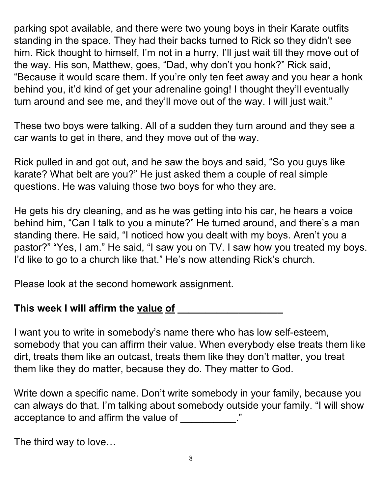parking spot available, and there were two young boys in their Karate outfits standing in the space. They had their backs turned to Rick so they didn't see him. Rick thought to himself, I'm not in a hurry, I'll just wait till they move out of the way. His son, Matthew, goes, "Dad, why don't you honk?" Rick said, "Because it would scare them. If you're only ten feet away and you hear a honk behind you, it'd kind of get your adrenaline going! I thought they'll eventually turn around and see me, and they'll move out of the way. I will just wait."

These two boys were talking. All of a sudden they turn around and they see a car wants to get in there, and they move out of the way.

Rick pulled in and got out, and he saw the boys and said, "So you guys like karate? What belt are you?" He just asked them a couple of real simple questions. He was valuing those two boys for who they are.

He gets his dry cleaning, and as he was getting into his car, he hears a voice behind him, "Can I talk to you a minute?" He turned around, and there's a man standing there. He said, "I noticed how you dealt with my boys. Aren't you a pastor?" "Yes, I am." He said, "I saw you on TV. I saw how you treated my boys. I'd like to go to a church like that." He's now attending Rick's church.

Please look at the second homework assignment.

# **This week I will affirm the value of \_\_\_\_\_\_\_\_\_\_\_\_\_\_\_\_\_\_\_**

I want you to write in somebody's name there who has low self-esteem, somebody that you can affirm their value. When everybody else treats them like dirt, treats them like an outcast, treats them like they don't matter, you treat them like they do matter, because they do. They matter to God.

Write down a specific name. Don't write somebody in your family, because you can always do that. I'm talking about somebody outside your family. "I will show acceptance to and affirm the value of  $\sim$ 

The third way to love…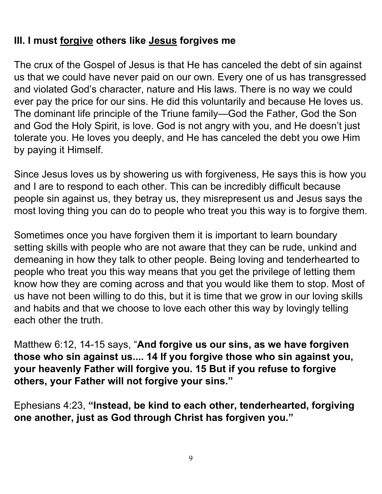# **III. I must forgive others like Jesus forgives me**

The crux of the Gospel of Jesus is that He has canceled the debt of sin against us that we could have never paid on our own. Every one of us has transgressed and violated God's character, nature and His laws. There is no way we could ever pay the price for our sins. He did this voluntarily and because He loves us. The dominant life principle of the Triune family—God the Father, God the Son and God the Holy Spirit, is love. God is not angry with you, and He doesn't just tolerate you. He loves you deeply, and He has canceled the debt you owe Him by paying it Himself.

Since Jesus loves us by showering us with forgiveness, He says this is how you and I are to respond to each other. This can be incredibly difficult because people sin against us, they betray us, they misrepresent us and Jesus says the most loving thing you can do to people who treat you this way is to forgive them.

Sometimes once you have forgiven them it is important to learn boundary setting skills with people who are not aware that they can be rude, unkind and demeaning in how they talk to other people. Being loving and tenderhearted to people who treat you this way means that you get the privilege of letting them know how they are coming across and that you would like them to stop. Most of us have not been willing to do this, but it is time that we grow in our loving skills and habits and that we choose to love each other this way by lovingly telling each other the truth.

Matthew 6:12, 14-15 says, "**And forgive us our sins, as we have forgiven those who sin against us.... 14 If you forgive those who sin against you, your heavenly Father will forgive you. 15 But if you refuse to forgive others, your Father will not forgive your sins."**

Ephesians 4:23, **"Instead, be kind to each other, tenderhearted, forgiving one another, just as God through Christ has forgiven you."**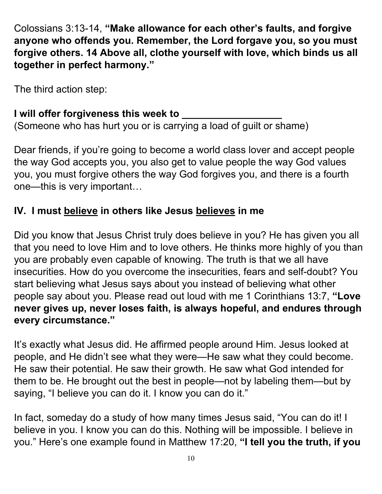Colossians 3:13-14, **"Make allowance for each other's faults, and forgive anyone who offends you. Remember, the Lord forgave you, so you must forgive others. 14 Above all, clothe yourself with love, which binds us all together in perfect harmony."**

The third action step:

# **I will offer forgiveness this week to \_\_\_\_\_\_\_\_\_\_\_\_\_\_\_\_\_\_**

(Someone who has hurt you or is carrying a load of guilt or shame)

Dear friends, if you're going to become a world class lover and accept people the way God accepts you, you also get to value people the way God values you, you must forgive others the way God forgives you, and there is a fourth one—this is very important…

# **IV. I must believe in others like Jesus believes in me**

Did you know that Jesus Christ truly does believe in you? He has given you all that you need to love Him and to love others. He thinks more highly of you than you are probably even capable of knowing. The truth is that we all have insecurities. How do you overcome the insecurities, fears and self-doubt? You start believing what Jesus says about you instead of believing what other people say about you. Please read out loud with me 1 Corinthians 13:7, **"Love never gives up, never loses faith, is always hopeful, and endures through every circumstance."**

It's exactly what Jesus did. He affirmed people around Him. Jesus looked at people, and He didn't see what they were—He saw what they could become. He saw their potential. He saw their growth. He saw what God intended for them to be. He brought out the best in people—not by labeling them—but by saying, "I believe you can do it. I know you can do it."

In fact, someday do a study of how many times Jesus said, "You can do it! I believe in you. I know you can do this. Nothing will be impossible. I believe in you." Here's one example found in Matthew 17:20, **"I tell you the truth, if you**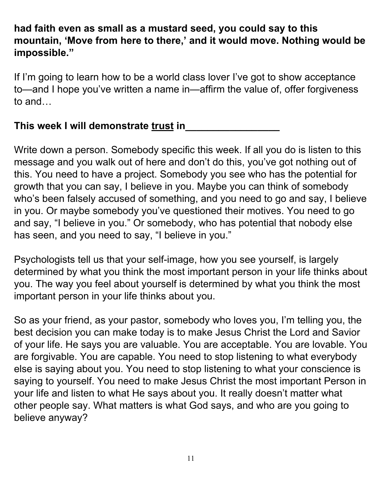## **had faith even as small as a mustard seed, you could say to this mountain, 'Move from here to there, ' and it would move. Nothing would be impossible."**

If I'm going to learn how to be a world class lover I've got to show acceptance to—and I hope you've written a name in—affirm the value of, offer forgiveness to and…

#### **This week I will demonstrate trust in\_\_\_\_\_\_\_\_\_\_\_\_\_\_\_\_\_**

Write down a person. Somebody specific this week. If all you do is listen to this message and you walk out of here and don't do this, you've got nothing out of this. You need to have a project. Somebody you see who has the potential for growth that you can say, I believe in you. Maybe you can think of somebody who's been falsely accused of something, and you need to go and say, I believe in you. Or maybe somebody you've questioned their motives. You need to go and say, "I believe in you." Or somebody, who has potential that nobody else has seen, and you need to say, "I believe in you."

Psychologists tell us that your self-image, how you see yourself, is largely determined by what you think the most important person in your life thinks about you. The way you feel about yourself is determined by what you think the most important person in your life thinks about you.

So as your friend, as your pastor, somebody who loves you, I'm telling you, the best decision you can make today is to make Jesus Christ the Lord and Savior of your life. He says you are valuable. You are acceptable. You are lovable. You are forgivable. You are capable. You need to stop listening to what everybody else is saying about you. You need to stop listening to what your conscience is saying to yourself. You need to make Jesus Christ the most important Person in your life and listen to what He says about you. It really doesn't matter what other people say. What matters is what God says, and who are you going to believe anyway?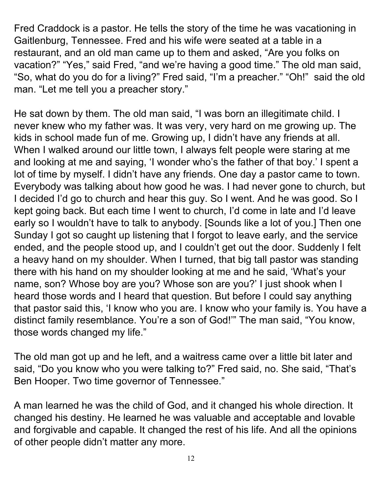Fred Craddock is a pastor. He tells the story of the time he was vacationing in Gaitlenburg, Tennessee. Fred and his wife were seated at a table in a restaurant, and an old man came up to them and asked, "Are you folks on vacation?" "Yes," said Fred, "and we're having a good time." The old man said, "So, what do you do for a living?" Fred said, "I'm a preacher." "Oh!" said the old man. "Let me tell you a preacher story."

He sat down by them. The old man said, "I was born an illegitimate child. I never knew who my father was. It was very, very hard on me growing up. The kids in school made fun of me. Growing up, I didn't have any friends at all. When I walked around our little town, I always felt people were staring at me and looking at me and saying, 'I wonder who's the father of that boy.' I spent a lot of time by myself. I didn't have any friends. One day a pastor came to town. Everybody was talking about how good he was. I had never gone to church, but I decided I'd go to church and hear this guy. So I went. And he was good. So I kept going back. But each time I went to church, I'd come in late and I'd leave early so I wouldn't have to talk to anybody. [Sounds like a lot of you.] Then one Sunday I got so caught up listening that I forgot to leave early, and the service ended, and the people stood up, and I couldn't get out the door. Suddenly I felt a heavy hand on my shoulder. When I turned, that big tall pastor was standing there with his hand on my shoulder looking at me and he said, 'What's your name, son? Whose boy are you? Whose son are you?' I just shook when I heard those words and I heard that question. But before I could say anything that pastor said this, 'I know who you are. I know who your family is. You have a distinct family resemblance. You're a son of God!'" The man said, "You know, those words changed my life."

The old man got up and he left, and a waitress came over a little bit later and said, "Do you know who you were talking to?" Fred said, no. She said, "That's Ben Hooper. Two time governor of Tennessee."

A man learned he was the child of God, and it changed his whole direction. It changed his destiny. He learned he was valuable and acceptable and lovable and forgivable and capable. It changed the rest of his life. And all the opinions of other people didn't matter any more.